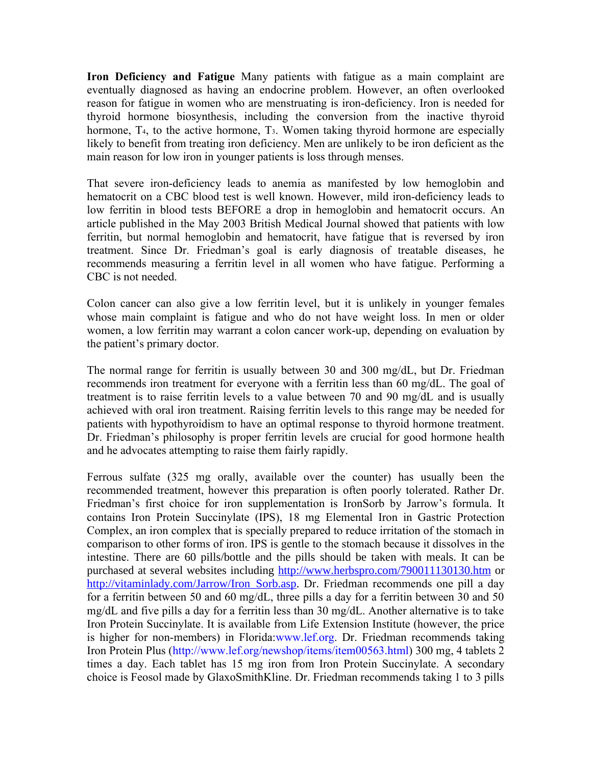**Iron Deficiency and Fatigue** Many patients with fatigue as a main complaint are eventually diagnosed as having an endocrine problem. However, an often overlooked reason for fatigue in women who are menstruating is iron-deficiency. Iron is needed for thyroid hormone biosynthesis, including the conversion from the inactive thyroid hormone, T<sub>4</sub>, to the active hormone, T<sub>3</sub>. Women taking thyroid hormone are especially likely to benefit from treating iron deficiency. Men are unlikely to be iron deficient as the main reason for low iron in younger patients is loss through menses.

That severe iron-deficiency leads to anemia as manifested by low hemoglobin and hematocrit on a CBC blood test is well known. However, mild iron-deficiency leads to low ferritin in blood tests BEFORE a drop in hemoglobin and hematocrit occurs. An article published in the May 2003 British Medical Journal showed that patients with low ferritin, but normal hemoglobin and hematocrit, have fatigue that is reversed by iron treatment. Since Dr. Friedman's goal is early diagnosis of treatable diseases, he recommends measuring a ferritin level in all women who have fatigue. Performing a CBC is not needed.

Colon cancer can also give a low ferritin level, but it is unlikely in younger females whose main complaint is fatigue and who do not have weight loss. In men or older women, a low ferritin may warrant a colon cancer work-up, depending on evaluation by the patient's primary doctor.

The normal range for ferritin is usually between 30 and 300 mg/dL, but Dr. Friedman recommends iron treatment for everyone with a ferritin less than 60 mg/dL. The goal of treatment is to raise ferritin levels to a value between 70 and 90 mg/dL and is usually achieved with oral iron treatment. Raising ferritin levels to this range may be needed for patients with hypothyroidism to have an optimal response to thyroid hormone treatment. Dr. Friedman's philosophy is proper ferritin levels are crucial for good hormone health and he advocates attempting to raise them fairly rapidly.

Ferrous sulfate (325 mg orally, available over the counter) has usually been the recommended treatment, however this preparation is often poorly tolerated. Rather Dr. Friedman's first choice for iron supplementation is IronSorb by Jarrow's formula. It contains Iron Protein Succinylate (IPS), 18 mg Elemental Iron in Gastric Protection Complex, an iron complex that is specially prepared to reduce irritation of the stomach in comparison to other forms of iron. IPS is gentle to the stomach because it dissolves in the intestine. There are 60 pills/bottle and the pills should be taken with meals. It can be purchased at several websites including <http://www.herbspro.com/790011130130.htm> or http://vitaminlady.com/Jarrow/Iron Sorb.asp. Dr. Friedman recommends one pill a day for a ferritin between 50 and 60 mg/dL, three pills a day for a ferritin between 30 and 50 mg/dL and five pills a day for a ferritin less than 30 mg/dL. Another alternative is to take Iron Protein Succinylate. It is available from Life Extension Institute (however, the price is higher for non-members) in Florida:www.lef.org. Dr. Friedman recommends taking Iron Protein Plus (http://www.lef.org/newshop/items/item00563.html) 300 mg, 4 tablets 2 times a day. Each tablet has 15 mg iron from Iron Protein Succinylate. A secondary choice is Feosol made by GlaxoSmithKline. Dr. Friedman recommends taking 1 to 3 pills